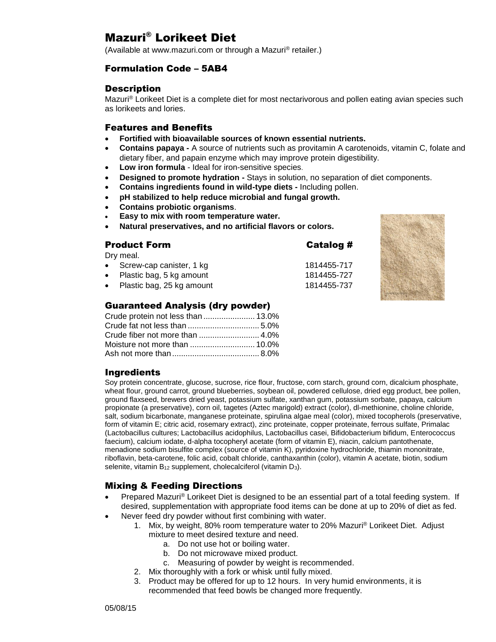# Mazuri® Lorikeet Diet

(Available at www.mazuri.com or through a Mazuri® retailer.)

# Formulation Code – 5AB4

## **Description**

Mazuri® Lorikeet Diet is a complete diet for most nectarivorous and pollen eating avian species such as lorikeets and lories.

## Features and Benefits

- **Fortified with bioavailable sources of known essential nutrients.**
- **Contains papaya -** A source of nutrients such as provitamin A carotenoids, vitamin C, folate and dietary fiber, and papain enzyme which may improve protein digestibility.

Catalog #

- **Low iron formula** Ideal for iron-sensitive species.
- **Designed to promote hydration -** Stays in solution, no separation of diet components.
- **Contains ingredients found in wild-type diets -** Including pollen.
- **pH stabilized to help reduce microbial and fungal growth.**
- **Contains probiotic organisms**.
- **Easy to mix with room temperature water.**
- **Natural preservatives, and no artificial flavors or colors.**

Dry meal.

- Screw-cap canister, 1 kg 1814455-717 Plastic bag, 5 kg amount 1814455-727
- 
- Plastic bag, 25 kg amount 1814455-737

# Guaranteed Analysis (dry powder)

| Crude protein not less than  13.0% |  |
|------------------------------------|--|
|                                    |  |
|                                    |  |
|                                    |  |
|                                    |  |

# **Ingredients**

Soy protein concentrate, glucose, sucrose, rice flour, fructose, corn starch, ground corn, dicalcium phosphate, wheat flour, ground carrot, ground blueberries, soybean oil, powdered cellulose, dried egg product, bee pollen, ground flaxseed, brewers dried yeast, potassium sulfate, xanthan gum, potassium sorbate, papaya, calcium propionate (a preservative), corn oil, tagetes (Aztec marigold) extract (color), dl-methionine, choline chloride, salt, sodium bicarbonate, manganese proteinate, spirulina algae meal (color), mixed tocopherols (preservative, form of vitamin E; citric acid, rosemary extract), zinc proteinate, copper proteinate, ferrous sulfate, Primalac (Lactobacillus cultures; Lactobacillus acidophilus, Lactobacillus casei, Bifidobacterium bifidum, Enterococcus faecium), calcium iodate, d-alpha tocopheryl acetate (form of vitamin E), niacin, calcium pantothenate, menadione sodium bisulfite complex (source of vitamin K), pyridoxine hydrochloride, thiamin mononitrate, riboflavin, beta-carotene, folic acid, cobalt chloride, canthaxanthin (color), vitamin A acetate, biotin, sodium selenite, vitamin  $B_{12}$  supplement, cholecalciferol (vitamin  $D_3$ ).

# Mixing & Feeding Directions

- Prepared Mazuri® Lorikeet Diet is designed to be an essential part of a total feeding system. If desired, supplementation with appropriate food items can be done at up to 20% of diet as fed.
- Never feed dry powder without first combining with water.
	- 1. Mix, by weight, 80% room temperature water to 20% Mazuri® Lorikeet Diet. Adjust mixture to meet desired texture and need.
		- a. Do not use hot or boiling water.
		- b. Do not microwave mixed product.
		- c. Measuring of powder by weight is recommended.
	- 2. Mix thoroughly with a fork or whisk until fully mixed.
	- 3. Product may be offered for up to 12 hours. In very humid environments, it is recommended that feed bowls be changed more frequently.